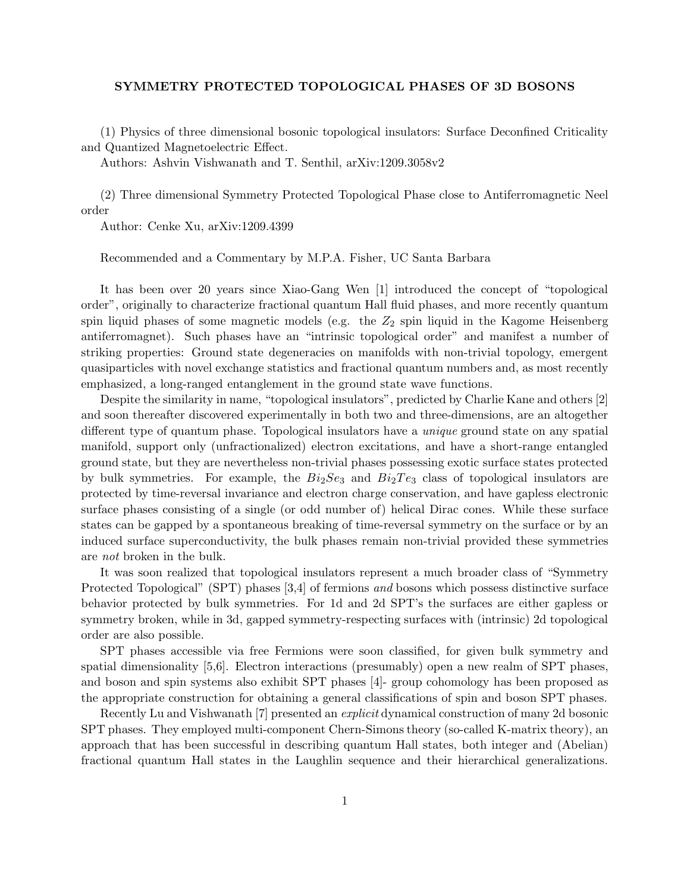## SYMMETRY PROTECTED TOPOLOGICAL PHASES OF 3D BOSONS

(1) Physics of three dimensional bosonic topological insulators: Surface Deconfined Criticality and Quantized Magnetoelectric Effect.

Authors: Ashvin Vishwanath and T. Senthil, arXiv:1209.3058v2

(2) Three dimensional Symmetry Protected Topological Phase close to Antiferromagnetic Neel order

Author: Cenke Xu, arXiv:1209.4399

Recommended and a Commentary by M.P.A. Fisher, UC Santa Barbara

It has been over 20 years since Xiao-Gang Wen [1] introduced the concept of "topological order", originally to characterize fractional quantum Hall fluid phases, and more recently quantum spin liquid phases of some magnetic models (e.g. the  $Z_2$  spin liquid in the Kagome Heisenberg antiferromagnet). Such phases have an "intrinsic topological order" and manifest a number of striking properties: Ground state degeneracies on manifolds with non-trivial topology, emergent quasiparticles with novel exchange statistics and fractional quantum numbers and, as most recently emphasized, a long-ranged entanglement in the ground state wave functions.

Despite the similarity in name, "topological insulators", predicted by Charlie Kane and others [2] and soon thereafter discovered experimentally in both two and three-dimensions, are an altogether different type of quantum phase. Topological insulators have a unique ground state on any spatial manifold, support only (unfractionalized) electron excitations, and have a short-range entangled ground state, but they are nevertheless non-trivial phases possessing exotic surface states protected by bulk symmetries. For example, the  $Bi_2Se_3$  and  $Bi_2Te_3$  class of topological insulators are protected by time-reversal invariance and electron charge conservation, and have gapless electronic surface phases consisting of a single (or odd number of) helical Dirac cones. While these surface states can be gapped by a spontaneous breaking of time-reversal symmetry on the surface or by an induced surface superconductivity, the bulk phases remain non-trivial provided these symmetries are not broken in the bulk.

It was soon realized that topological insulators represent a much broader class of "Symmetry Protected Topological" (SPT) phases [3,4] of fermions and bosons which possess distinctive surface behavior protected by bulk symmetries. For 1d and 2d SPT's the surfaces are either gapless or symmetry broken, while in 3d, gapped symmetry-respecting surfaces with (intrinsic) 2d topological order are also possible.

SPT phases accessible via free Fermions were soon classified, for given bulk symmetry and spatial dimensionality [5,6]. Electron interactions (presumably) open a new realm of SPT phases, and boson and spin systems also exhibit SPT phases [4]- group cohomology has been proposed as the appropriate construction for obtaining a general classifications of spin and boson SPT phases.

Recently Lu and Vishwanath [7] presented an explicit dynamical construction of many 2d bosonic SPT phases. They employed multi-component Chern-Simons theory (so-called K-matrix theory), an approach that has been successful in describing quantum Hall states, both integer and (Abelian) fractional quantum Hall states in the Laughlin sequence and their hierarchical generalizations.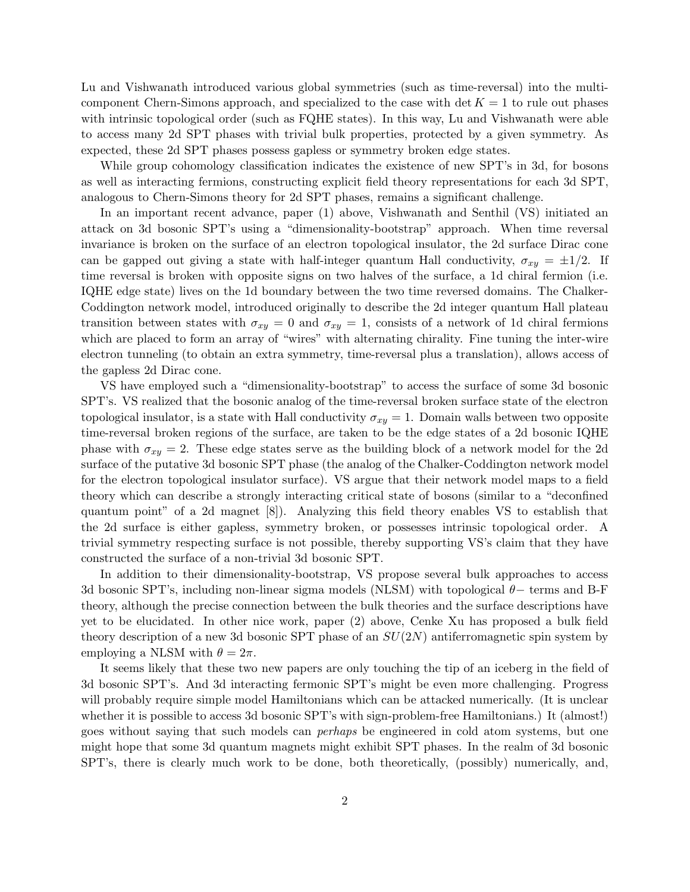Lu and Vishwanath introduced various global symmetries (such as time-reversal) into the multicomponent Chern-Simons approach, and specialized to the case with  $\det K = 1$  to rule out phases with intrinsic topological order (such as FQHE states). In this way, Lu and Vishwanath were able to access many 2d SPT phases with trivial bulk properties, protected by a given symmetry. As expected, these 2d SPT phases possess gapless or symmetry broken edge states.

While group cohomology classification indicates the existence of new SPT's in 3d, for bosons as well as interacting fermions, constructing explicit field theory representations for each 3d SPT, analogous to Chern-Simons theory for 2d SPT phases, remains a significant challenge.

In an important recent advance, paper (1) above, Vishwanath and Senthil (VS) initiated an attack on 3d bosonic SPT's using a "dimensionality-bootstrap" approach. When time reversal invariance is broken on the surface of an electron topological insulator, the 2d surface Dirac cone can be gapped out giving a state with half-integer quantum Hall conductivity,  $\sigma_{xy} = \pm 1/2$ . If time reversal is broken with opposite signs on two halves of the surface, a 1d chiral fermion (i.e. IQHE edge state) lives on the 1d boundary between the two time reversed domains. The Chalker-Coddington network model, introduced originally to describe the 2d integer quantum Hall plateau transition between states with  $\sigma_{xy} = 0$  and  $\sigma_{xy} = 1$ , consists of a network of 1d chiral fermions which are placed to form an array of "wires" with alternating chirality. Fine tuning the inter-wire electron tunneling (to obtain an extra symmetry, time-reversal plus a translation), allows access of the gapless 2d Dirac cone.

VS have employed such a "dimensionality-bootstrap" to access the surface of some 3d bosonic SPT's. VS realized that the bosonic analog of the time-reversal broken surface state of the electron topological insulator, is a state with Hall conductivity  $\sigma_{xy} = 1$ . Domain walls between two opposite time-reversal broken regions of the surface, are taken to be the edge states of a 2d bosonic IQHE phase with  $\sigma_{xy} = 2$ . These edge states serve as the building block of a network model for the 2d surface of the putative 3d bosonic SPT phase (the analog of the Chalker-Coddington network model for the electron topological insulator surface). VS argue that their network model maps to a field theory which can describe a strongly interacting critical state of bosons (similar to a "deconfined quantum point" of a 2d magnet [8]). Analyzing this field theory enables VS to establish that the 2d surface is either gapless, symmetry broken, or possesses intrinsic topological order. A trivial symmetry respecting surface is not possible, thereby supporting VS's claim that they have constructed the surface of a non-trivial 3d bosonic SPT.

In addition to their dimensionality-bootstrap, VS propose several bulk approaches to access 3d bosonic SPT's, including non-linear sigma models (NLSM) with topological θ− terms and B-F theory, although the precise connection between the bulk theories and the surface descriptions have yet to be elucidated. In other nice work, paper (2) above, Cenke Xu has proposed a bulk field theory description of a new 3d bosonic SPT phase of an  $SU(2N)$  antiferromagnetic spin system by employing a NLSM with  $\theta = 2\pi$ .

It seems likely that these two new papers are only touching the tip of an iceberg in the field of 3d bosonic SPT's. And 3d interacting fermonic SPT's might be even more challenging. Progress will probably require simple model Hamiltonians which can be attacked numerically. (It is unclear whether it is possible to access 3d bosonic SPT's with sign-problem-free Hamiltonians.) It (almost!) goes without saying that such models can perhaps be engineered in cold atom systems, but one might hope that some 3d quantum magnets might exhibit SPT phases. In the realm of 3d bosonic SPT's, there is clearly much work to be done, both theoretically, (possibly) numerically, and,